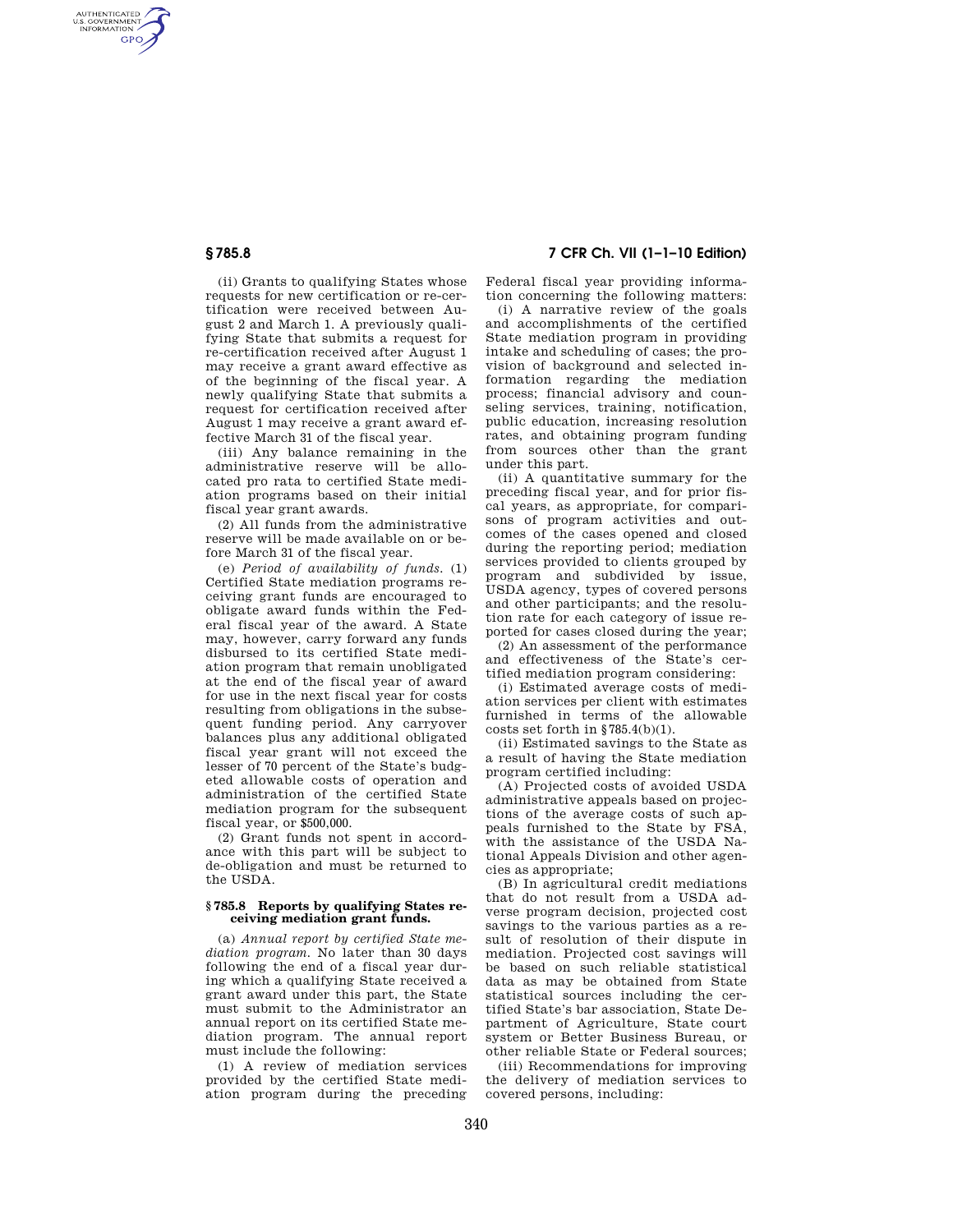AUTHENTICATED<br>U.S. GOVERNMENT<br>INFORMATION **GPO** 

> (ii) Grants to qualifying States whose requests for new certification or re-certification were received between August 2 and March 1. A previously qualifying State that submits a request for re-certification received after August 1 may receive a grant award effective as of the beginning of the fiscal year. A newly qualifying State that submits a request for certification received after August 1 may receive a grant award effective March 31 of the fiscal year.

> (iii) Any balance remaining in the administrative reserve will be allocated pro rata to certified State mediation programs based on their initial fiscal year grant awards.

> (2) All funds from the administrative reserve will be made available on or before March 31 of the fiscal year.

> (e) *Period of availability of funds.* (1) Certified State mediation programs receiving grant funds are encouraged to obligate award funds within the Federal fiscal year of the award. A State may, however, carry forward any funds disbursed to its certified State mediation program that remain unobligated at the end of the fiscal year of award for use in the next fiscal year for costs resulting from obligations in the subsequent funding period. Any carryover balances plus any additional obligated fiscal year grant will not exceed the lesser of 70 percent of the State's budgeted allowable costs of operation and administration of the certified State mediation program for the subsequent fiscal year, or \$500,000.

(2) Grant funds not spent in accordance with this part will be subject to de-obligation and must be returned to the USDA.

## **§ 785.8 Reports by qualifying States receiving mediation grant funds.**

(a) *Annual report by certified State mediation program.* No later than 30 days following the end of a fiscal year during which a qualifying State received a grant award under this part, the State must submit to the Administrator an annual report on its certified State mediation program. The annual report must include the following:

(1) A review of mediation services provided by the certified State mediation program during the preceding

# **§ 785.8 7 CFR Ch. VII (1–1–10 Edition)**

Federal fiscal year providing information concerning the following matters:

(i) A narrative review of the goals and accomplishments of the certified State mediation program in providing intake and scheduling of cases; the provision of background and selected information regarding the mediation process; financial advisory and counseling services, training, notification, public education, increasing resolution rates, and obtaining program funding from sources other than the grant under this part.

(ii) A quantitative summary for the preceding fiscal year, and for prior fiscal years, as appropriate, for comparisons of program activities and outcomes of the cases opened and closed during the reporting period; mediation services provided to clients grouped by program and subdivided by issue, USDA agency, types of covered persons and other participants; and the resolution rate for each category of issue reported for cases closed during the year;

(2) An assessment of the performance and effectiveness of the State's certified mediation program considering:

(i) Estimated average costs of mediation services per client with estimates furnished in terms of the allowable costs set forth in  $$785.4(b)(1)$ .

(ii) Estimated savings to the State as a result of having the State mediation program certified including:

(A) Projected costs of avoided USDA administrative appeals based on projections of the average costs of such appeals furnished to the State by FSA, with the assistance of the USDA National Appeals Division and other agencies as appropriate;

(B) In agricultural credit mediations that do not result from a USDA adverse program decision, projected cost savings to the various parties as a result of resolution of their dispute in mediation. Projected cost savings will be based on such reliable statistical data as may be obtained from State statistical sources including the certified State's bar association, State Department of Agriculture, State court system or Better Business Bureau, or other reliable State or Federal sources;

(iii) Recommendations for improving the delivery of mediation services to covered persons, including: